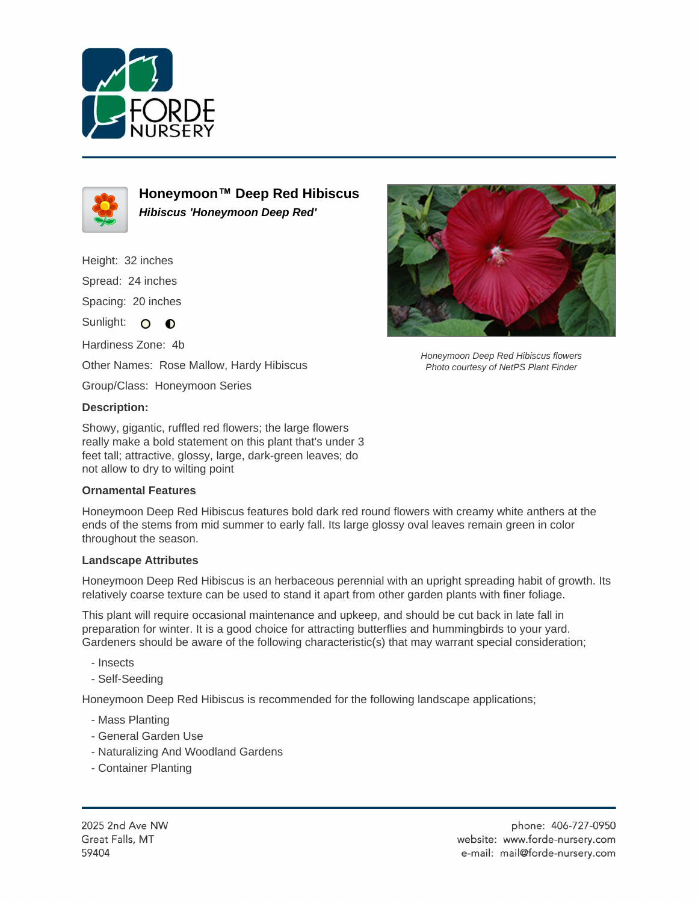



**Honeymoon™ Deep Red Hibiscus Hibiscus 'Honeymoon Deep Red'**

Height: 32 inches Spread: 24 inches

Spacing: 20 inches

Sunlight: O O

Hardiness Zone: 4b

Other Names: Rose Mallow, Hardy Hibiscus

Group/Class: Honeymoon Series

## **Description:**

Showy, gigantic, ruffled red flowers; the large flowers really make a bold statement on this plant that's under 3 feet tall; attractive, glossy, large, dark-green leaves; do not allow to dry to wilting point

## **Ornamental Features**

Honeymoon Deep Red Hibiscus features bold dark red round flowers with creamy white anthers at the ends of the stems from mid summer to early fall. Its large glossy oval leaves remain green in color throughout the season.

## **Landscape Attributes**

Honeymoon Deep Red Hibiscus is an herbaceous perennial with an upright spreading habit of growth. Its relatively coarse texture can be used to stand it apart from other garden plants with finer foliage.

This plant will require occasional maintenance and upkeep, and should be cut back in late fall in preparation for winter. It is a good choice for attracting butterflies and hummingbirds to your yard. Gardeners should be aware of the following characteristic(s) that may warrant special consideration;

- Insects
- Self-Seeding

Honeymoon Deep Red Hibiscus is recommended for the following landscape applications;

- Mass Planting
- General Garden Use
- Naturalizing And Woodland Gardens
- Container Planting



Honeymoon Deep Red Hibiscus flowers Photo courtesy of NetPS Plant Finder

2025 2nd Ave NW Great Falls, MT 59404

phone: 406-727-0950 website: www.forde-nursery.com e-mail: mail@forde-nursery.com